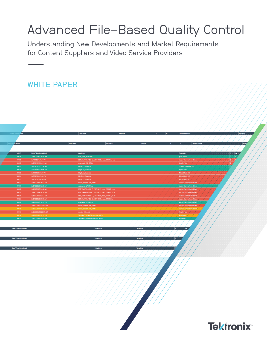# Advanced File-Based Quality Control

Understanding New Developments and Market Requirements for Content Suppliers and Video Service Providers  $-$ 

## WHITE PAPER

| $r$ ted             |                                              | Container<br><b>Template</b>                                 |                 | W    | Time Remaining<br><b>Progress</b>                                      |
|---------------------|----------------------------------------------|--------------------------------------------------------------|-----------------|------|------------------------------------------------------------------------|
|                     |                                              |                                                              |                 |      |                                                                        |
|                     |                                              |                                                              |                 |      |                                                                        |
| ne Added            | <b>Container</b>                             | <b>Template</b>                                              | <b>Priority</b> |      | Progg<br>w<br>Time in Queue                                            |
|                     |                                              |                                                              |                 |      |                                                                        |
| Job ID              | Date/Time Completed                          | Container                                                    |                 |      | $E = W$<br>Template                                                    |
| 50038               | 3/16/2016 3:15:56 PM                         | HPC_pixel_issue.mov                                          |                 |      | ∣0⊪                                                                    |
| 40038               | 3/7/2016 4:59:40 PM                          | EST_TheXFiles416HD_EOT50811_mezz_LVLH07_v4.ts                |                 |      | pixel profile<br><b>Audio Channel Correlation</b><br>$\vert \nu \vert$ |
| 30038               | 3/4/2016 11:24:21 AM                         | edge_east_LVLH03.ts                                          |                 |      | Quality Test<br>14.                                                    |
| 30037               | 3/3/2016 10:51:34 AM                         | <b>Big_Buck_Bunny.ts</b>                                     |                 |      | <b>Stream Summary Only</b>                                             |
| 30036               | 3/3/2016 10:35:08 AM                         | <b>Big_Buck_Bunny.ts</b>                                     |                 |      | <b>Quick Scan</b>                                                      |
| 30035               | 3/2/2016 5:01:03 PM                          | <b>Big_Buck_Bunny.ts</b>                                     |                 |      | Mezz Check HD                                                          |
| 30034               | 3/2/2016 4:07:00 PM                          | <b>Big_Buck_Bunny.ts</b>                                     |                 |      | Mezz Check HD                                                          |
| 30033               | 3/2/2016 3:08:30 PM                          | Big_Buck_Bunny.ts                                            |                 |      | Mezz Check HD                                                          |
| 30032<br>30031      | 2/19/2016 9:39:37 AM<br>2/19/2016 9:37:28 AM | Fallon_pop_LVLS06_cut.ts<br>edge_west_LVLH07.ts              |                 |      | Audio Channel Correlation<br><b>Audio Channel Correlation</b>          |
| 30030               | 2/19/2016 8:54:38 AM                         | EST_TheXFiles416HD_EOT50811_mezz_LVLH07_v4.ts                |                 |      | Audio Channel Correlatio                                               |
| 30029               | 2/19/2016 8:56:26 AM                         | EST_TheXFiles416HD_EOT50811_mezz_LVLH07_v3.ts                |                 |      | <b>Audio Channel Correlation</b>                                       |
| 30028               | 2/19/2016 8:52:47 AM                         | EST_TheXFiles416HD_EOT50811_mezz_LVLH07_v2.ts                |                 |      | <b>Audio Channel Correlation</b>                                       |
| 30027               | 2/19/2016 8:51:03 AM                         | EST_TheXFiles416HD_EOT50811_mezz_LVLH07.ts                   |                 |      | <b>Audio Channel Correlation</b>                                       |
| 30020               | 2/16/2016 3:12:22 PM                         | edge_west_LVLH07.ts                                          |                 |      | Audio Channel Correlat                                                 |
| 30019               | 2/16/2016 10:23:02 AM                        | Fallon_pop_LVLS06_cut.ts                                     |                 |      | Audio Channel Correlation                                              |
| 30018               | 2/16/2016 9:55:20 AM                         | Fallon_pop_LVLSO6_cut.ts                                     |                 |      | Audio Channel Correlatio                                               |
| 30017               | 2/11/2016 10:22:09 AM                        | master-video.mxf                                             |                 |      | Quality Test /                                                         |
| 30016<br>30015      | 2/10/2016 4:53:12 PM<br>2/10/2016 4:55:40 PM | THEMAZERUNNER_west_LVLH07.ts<br>THEMAZERUNNER_west_LVLH03.ts |                 |      | Blockiness<br>Blockiness                                               |
|                     |                                              |                                                              |                 |      |                                                                        |
| Date/Time Completed |                                              | Container                                                    | Template        | E.   | $\overline{a}$                                                         |
|                     |                                              |                                                              |                 |      |                                                                        |
|                     |                                              |                                                              |                 |      |                                                                        |
|                     |                                              |                                                              |                 |      |                                                                        |
| Date/Time Completed |                                              | Container                                                    | Template        | ∥E ∴ |                                                                        |
|                     |                                              |                                                              |                 |      |                                                                        |
| Date/Time Completed |                                              | Container                                                    | Template        |      |                                                                        |
|                     |                                              |                                                              |                 |      |                                                                        |
|                     |                                              |                                                              |                 |      |                                                                        |
|                     |                                              |                                                              |                 |      |                                                                        |
|                     |                                              |                                                              |                 |      |                                                                        |
|                     |                                              |                                                              |                 |      |                                                                        |
|                     |                                              |                                                              |                 |      |                                                                        |
|                     |                                              |                                                              |                 |      |                                                                        |
|                     |                                              |                                                              |                 |      |                                                                        |
|                     |                                              |                                                              |                 |      |                                                                        |
|                     |                                              |                                                              |                 |      |                                                                        |
|                     |                                              |                                                              |                 |      |                                                                        |
|                     |                                              |                                                              |                 |      |                                                                        |
|                     |                                              |                                                              |                 |      |                                                                        |
|                     |                                              |                                                              |                 |      |                                                                        |
|                     |                                              |                                                              |                 |      |                                                                        |
|                     |                                              |                                                              |                 |      |                                                                        |
|                     |                                              |                                                              |                 |      |                                                                        |
|                     |                                              |                                                              |                 |      |                                                                        |
|                     |                                              |                                                              |                 |      |                                                                        |
|                     |                                              |                                                              |                 |      |                                                                        |
|                     |                                              |                                                              |                 |      | <b>Tektronix®</b>                                                      |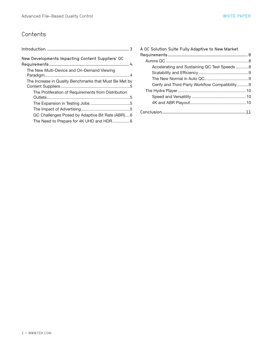## **Contents**

| New Developments Impacting Content Suppliers' QC       |
|--------------------------------------------------------|
|                                                        |
| The New Multi-Device and On-Demand Viewing             |
|                                                        |
| The Increase in Quality Benchmarks that Must Be Met by |
|                                                        |
| The Proliferation of Requirements from Distribution    |
|                                                        |
|                                                        |
|                                                        |
| QC Challenges Posed by Adaptive Bit Rate (ABR)6        |
| The Need to Prepare for 4K UHD and HDR6                |

| A OC Solution Suite Fully Adaptive to New Market |  |
|--------------------------------------------------|--|
|                                                  |  |
|                                                  |  |
| Accelerating and Sustaining QC Test Speeds8      |  |
|                                                  |  |
|                                                  |  |
| Cerify and Third-Party Workflow Compatibility9   |  |
|                                                  |  |
|                                                  |  |
|                                                  |  |
|                                                  |  |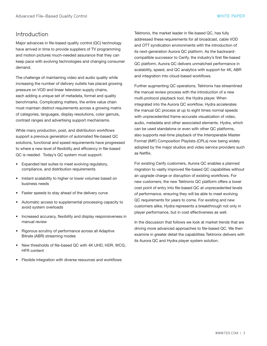## <span id="page-2-0"></span>Introduction

Major advances in file-based quality control (QC) technology have arrived in time to provide suppliers of TV programming and motion pictures much-needed assurance that they can keep pace with evolving technologies and changing consumer demand.

The challenge of maintaining video and audio quality while increasing the number of delivery outlets has placed growing pressure on VOD and linear television supply chains, each adding a unique set of metadata, format and quality benchmarks. Complicating matters, the entire value chain must maintain distinct requirements across a growing matrix of categories, languages, display resolutions, color gamuts, contrast ranges and advertising support mechanisms.

While many production, post, and distribution workflows support a previous generation of automated file-based QC solutions, functional and speed requirements have progressed to where a new level of flexibility and efficiency in file-based QC is needed. Today's QC system must support:

- Expanded test suites to meet evolving regulatory, compliance, and distribution requirements
- Instant scalability to higher or lower volumes based on business needs
- Faster speeds to stay ahead of the delivery curve
- Automatic access to supplemental processing capacity to avoid system overloads
- Increased accuracy, flexibility and display responsiveness in manual review
- Rigorous scrutiny of performance across all Adaptive Bitrate (ABR) streaming modes
- New thresholds of file-based QC with 4K UHD, HDR, WCG, HFR content
- Flexible integration with diverse resources and workflows

Tektronix, the market leader in file-based QC, has fully addressed these requirements for all broadcast, cable VOD and OTT syndication environments with the introduction of its next-generation Aurora QC platform. As the backwardcompatible successor to Cerify, the industry's first file-based QC platform, Aurora QC delivers unmatched performance in scalability, speed, and QC analytics with support for 4K, ABR and integration into cloud-based workflows.

Further augmenting QC operations, Tektronix has streamlined the manual review process with the introduction of a new multi-protocol playback tool, the Hydra player. When integrated into the Aurora QC workflow, Hydra accelerates the manual QC process at up to eight times normal speeds with unprecedented frame-accurate visualization of video, audio, metadata and other associated elements. Hydra, which can be used standalone or even with other QC platforms, also supports real-time playback of the Interoperable Master Format (IMF) Composition Playlists (CPLs) now being widely adopted by the major studios and video service providers such as Netflix.

For existing Cerify customers, Aurora QC enables a planned migration to vastly improved file-based QC capabilities without an upgrade charge or disruption of existing workflows. For new customers, the new Tektronix QC platform offers a lower cost point of entry into file-based QC at unprecedented levels of performance, ensuring they will be able to meet evolving QC requirements for years to come. For existing and new customers alike, Hydra represents a breakthrough not only in player performance, but in cost effectiveness as well.

In the discussion that follows we look at market trends that are driving more advanced approaches to file-based QC. We then examine in greater detail the capabilities Tektronix delivers with its Aurora QC and Hydra player system solution.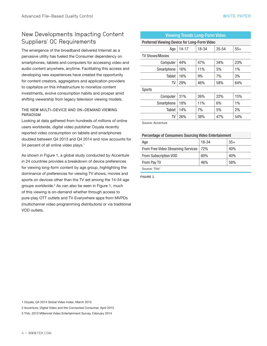## <span id="page-3-0"></span>New Developments Impacting Content Suppliers' QC Requirements

The emergence of the broadband delivered Internet as a pervasive utility has fueled the Consumer dependency on smartphones, tablets and computers for accessing video and audio content anywhere, anytime. Facilitating this access and developing new experiences have created the opportunity for content creators, aggregators and application providers to capitalize on this infrastructure to monetize content investments, evolve consumption habits and prosper amid shifting viewership from legacy television viewing models.

#### THE NEW MULTI-DEVICE AND ON-DEMAND VIEWING PARADIGM

Looking at data gathered from hundreds of millions of online users worldwide, digital video publisher Ooyala recently reported video consumption on tablets and smartphones doubled between Q4 2013 and Q4 2014 and now accounts for 34 percent of all online video plays.<sup>1</sup>

As shown in Figure 1, a global study conducted by Accenture in 24 countries provides a breakdown of device preferences for viewing long-form content by age group, highlighting the dominance of preferences for viewing TV shows, movies and sports on devices other than the TV set among the 14-34 age groups worldwide.<sup>2</sup> As can also be seen in Figure 1, much of this viewing is on-demand whether through access to pure-play OTT outlets and TV Everywhere apps from MVPDs (multichannel video programming distributors) or via traditional VOD outlets.

| <b>Viewing Trends Long-Form Video</b>        |           |       |           |       |
|----------------------------------------------|-----------|-------|-----------|-------|
| Preferred Viewing Device for Long-Form Video |           |       |           |       |
| Age                                          | $14 - 17$ | 18-34 | $35 - 54$ | $55+$ |
| <b>TV Shows/Movies</b>                       |           |       |           |       |
| Computer                                     | 44%       | 47%   | 34%       | 23%   |
| Smartphone                                   | 16%       | 11%   | 5%        | $1\%$ |
| Tablet                                       | 16%       | 9%    | 7%        | 3%    |
| TV                                           | 29%       | 46%   | 58%       | 64%   |
| Sports                                       |           |       |           |       |
| Computer                                     | 31%       | 26%   | 22%       | 15%   |
| Smartphone                                   | 18%       | 11%   | 6%        | $1\%$ |
| Tablet                                       | 14%       | 7%    | 5%        | $2\%$ |
| TV                                           | 26%       | 38%   | 47%       | 54%   |

Source: Accenture

#### Percentage of Consumers Sourcing Video Entertainment

| Age                                | 18-34 | $35+$ |
|------------------------------------|-------|-------|
| From Free Video Streaming Services | 72%   | 40%   |
| From Subscription VOD              | 60%   | 40%   |
| From Pay TV                        | 46%   | 58%   |
| Source: TiVo <sup>3</sup>          |       |       |

FIGURE 1.

1 Ooyala, Q4 2014 Global Video Index, March 2015

- 2 Accenture, Digital Video and the Connected Consumer, April 2015
- 3 TiVo, 2013 Millennial Video Entertainment Survey, February 2014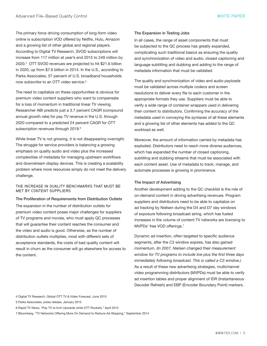<span id="page-4-0"></span>The primary force driving consumption of long-form video online is subscription VOD offered by Netflix, Hulu, Amazon and a growing list of other global and regional players. According to Digital TV Research, SVOD subscriptions will increase from 117 million at year's end 2015 to 249 million by 2020.4 OTT SVOD revenues are projected to hit \$21.6 billion in 2020, up from \$7.6 billion in 2014. In the U.S., according to Parks Associates, 57 percent of U.S. broadband households now subscribe to an OTT video service.<sup>5</sup>

The need to capitalize on these opportunities is obvious for premium video content suppliers who want to compensate for a loss of momentum in traditional linear TV viewing. Researcher ABI predicts just a 3.7 percent CAGR (compound annual growth rate) for pay TV revenue in the U.S. through 2020 compared to a predicted 24 percent CAGR for OTT subscription revenues through 2019.<sup>6</sup>

While linear TV is not growing, it is not disappearing overnight. The struggle for service providers is balancing a growing emphasis on quality audio and video plus the increased complexities of metadata for managing upstream workflows and downstream display devices. This is creating a scalability problem where more resources simply do not meet the delivery challenge.

#### THE INCREASE IN QUALITY BENCHMARKS THAT MUST BE MET BY CONTENT SUPPLIERS

#### The Proliferation of Requirements from Distribution Outlets

The expansion in the number of distribution outlets for premium video content poses major challenges for suppliers of TV programs and movies, who must apply QC processes that will guarantee their content reaches the consumer and the video and audio is good. Otherwise, as the number of distribution outlets multiplies, most with different sets of acceptance standards, the costs of bad quality content will result in churn as the consumer will go elsewhere for access to the content.

#### The Expansion in Testing Jobs

In all cases, the range of asset components that must be subjected to the QC process has greatly expanded, complicating such traditional basics as ensuring the quality and synchronization of video and audio, closed captioning and language subtitling and dubbing and adding to the range of metadata information that must be validated.

The quality and synchronization of video and audio payloads must be validated across multiple codecs and screen resolutions to deliver every file to each customer in the appropriate formats they use. Suppliers must be able to verify a wide range of container wrappers used in delivering their content to distributors. Confirming the accuracy of the metadata used in conveying the syntaxes of all these elements and a growing list of other elements has added to the QC workload as well.

Moreover, the amount of information carried by metadata has exploded. Distributors need to reach more diverse audiences, which has expanded the number of closed captioning, subtitling and dubbing streams that must be associated with each content asset. Use of metadata to track, manage, and automate processes is growing in prominence.

#### The Impact of Advertising

Another development adding to the QC checklist is the role of on-demand content in driving advertising revenues. Program suppliers and distributors need to be able to capitalize on ad tracking by Nielsen during the D4 and D7 day windows of exposure following broadcast airing, which has fueled increases in the volume of content TV networks are licensing to MVPDs' free VOD offerings.7

Dynamic ad insertion, often targeted to specific audience segments, after the C3 window expires, has also gained momentum. *(In 2007, Nielsen changed their measurement window for TV programs to include live plus the first three days immediately following broadcast. This is called a C3 window.)*  As a result of these new advertising strategies, multichannel video programming distributors (MVPDs) must be able to verify ad insertion tables and proper alignment of IDR (Instantaneous Decoder Refresh) and EBP (Encoder Boundary Point) markers.

6 Rapid TV News, "Pay TV to Inch Upwards while OTT Rockets," April 2015

<sup>4</sup> Digital TV Research, Global OTT TV & Video Forecast, June 2015

<sup>5</sup> Parks Associates, press release, January 2015

<sup>7</sup> Bloomberg, "TV Networks Offering More On Demand to Reduce Ad-Skipping," September 2014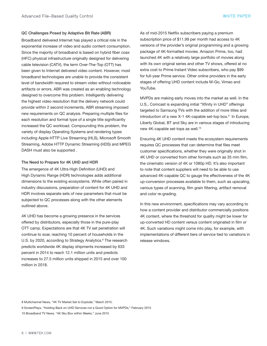#### <span id="page-5-0"></span>QC Challenges Posed by Adaptive Bit Rate (ABR)

Broadband delivered Internet has played a critical role in the exponential increase of video and audio content consumption. Since the majority of broadband is based on hybrid fiber coax (HFC) physical infrastructure originally designed for delivering cable television (CATV), the term Over-The-Top (OTT) has been given to Internet delivered video content. However, most broadband technologies are unable to provide the consistent level of bandwidth required to stream video without noticeable artifacts or errors. ABR was created as an enabling technology designed to overcome this problem. Intelligently delivering the highest video resolution that the delivery network could provide within 2 second increments, ABR streaming imposed new requirements on QC analysis. Preparing multiple files for each resolution and format type of a single title significantly increased the QC workload. Compounding this problem, the variety of display Operating Systems and rendering types including Apple HTTP Live Streaming (HLS), Microsoft Smooth Streaming, Adobe HTTP Dynamic Streaming (HDS) and MPEG DASH must also be supported .

#### The Need to Prepare for 4K UHD and HDR

The emergence of 4K Ultra High Definition (UHD) and High Dynamic Range (HDR) technologies adds additional dimensions to the existing ecosystems. While often paired in industry discussions, preparation of content for 4K UHD and HDR involves separate sets of new parameters that must be subjected to QC processes along with the other elements outlined above.

4K UHD has become a growing presence in the services offered by distributors, especially those in the pure-play OTT camp. Expectations are that 4K TV set penetration will continue to soar, reaching 10 percent of households in the U.S. by 2020, according to Strategy Analytics.<sup>8</sup> The research predicts worldwide 4K display shipments increased by 633 percent in 2014 to reach 12.1 million units and predicts increases to 27.5 million units shipped in 2015 and over 100 million in 2018.

As of mid-2015 Netflix subscribers paying a premium subscription price of \$11.99 per month had access to 4K versions of the provider's original programming and a growing package of 4K-formatted movies. Amazon Prime, too, had launched 4K with a relatively large portfolio of movies along with its own original series and other TV shows, offered at no extra cost to Prime Instant Video subscribers, who pay \$99 for full-year Prime service. Other online providers in the early stages of offering UHD content include M-Go, Vimeo and YouTube.

MVPDs are making early moves into the market as well. In the U.S., Comcast is expanding initial "Xfinity in UHD" offerings targeted to Samsung TVs with the addition of more titles and introduction of a new X-1 4K-capable set-top box.<sup>9</sup> In Europe, Liberty Global, BT and Sky are in various stages of introducing new 4K-capable set-tops as well.<sup>10</sup>

Ensuring 4K UHD content meets the ecosystem requirements requires QC processes that can determine that files meet customer specifications, whether they were originally shot in 4K UHD or converted from other formats such as 35 mm film, the cinematic version of 4K or 1080p HD. It's also important to note that content suppliers will need to be able to use advanced 4K-capable QC to gauge the effectiveness of the 4K up-conversion processes available to them, such as upscaling, various types of scanning, film grain filtering, artifact removal and color re-grading.

In this new environment, specifications may vary according to how a content provider and distributor commercially positions 4K content, where the threshold for quality might be lower for up-converted HD content versus content originated in film or 4K. Such variations might come into play, for example, with implementations of different tiers of service tied to variations in release windows.

9 ScreenPlays, "Holding Back on UHD Services not a Good Option for MVPDs," February 2015

<sup>8</sup> Multichannel News, "4K TV Market Set to Explode," March 2015.

<sup>10</sup> Broadband TV News, "4K Sky Box within Weeks," June 2015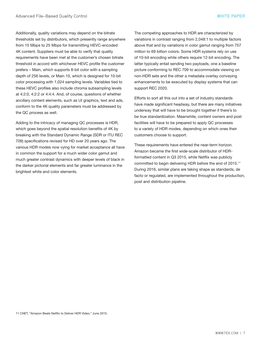Additionally, quality variations may depend on the bitrate thresholds set by distributors, which presently range anywhere from 15 Mbps to 25 Mbps for transmitting HEVC-encoded 4K content. Suppliers must be able to verify that quality requirements have been met at the customer's chosen bitrate threshold in accord with whichever HEVC profile the customer prefers – Main, which supports 8-bit color with a sampling depth of 256 levels, or Main 10, which is designed for 10-bit color processing with 1,024 sampling levels. Variables tied to these HEVC profiles also include chroma subsampling levels at 4:2:0, 4:2:2 or 4:4:4. And, of course, questions of whether ancillary content elements, such as UI graphics, text and ads, conform to the 4K quality parameters must be addressed by the QC process as well.

Adding to the intricacy of managing QC processes is HDR, which goes beyond the spatial resolution benefits of 4K by breaking with the Standard Dynamic Range (SDR or ITU REC 709) specifications revised for HD over 20 years ago. The various HDR modes now vying for market acceptance all have in common the support for a much wider color gamut and much greater contrast dynamics with deeper levels of black in the darker pictorial elements and far greater luminance in the brightest white and color elements.

The competing approaches to HDR are characterized by variations in contrast ranging from 2,048:1 to multiple factors above that and by variations in color gamut ranging from 757 million to 69 billion colors. Some HDR systems rely on use of 10-bit encoding while others require 12-bit encoding. The latter typically entail sending two payloads, one a baseline picture conforming to REC 709 to accommodate viewing on non-HDR sets and the other a metadata overlay conveying enhancements to be executed by display systems that can support REC 2020.

Efforts to sort all this out into a set of industry standards have made significant headway, but there are many initiatives underway that will have to be brought together if there's to be true standardization. Meanwhile, content owners and post facilities will have to be prepared to apply QC processes to a variety of HDR modes, depending on which ones their customers choose to support.

These requirements have entered the near-term horizon. Amazon became the first wide-scale distributor of HDRformatted content in Q3 2015, while Netflix was publicly committed to begin delivering HDR before the end of 2015.<sup>11</sup> During 2016, similar plans are taking shape as standards, de facto or regulated, are implemented throughout the production, post and distribution pipeline.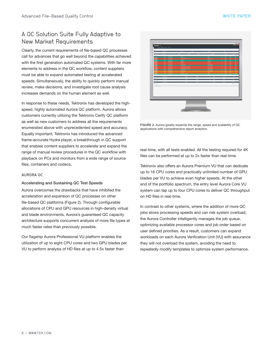## <span id="page-7-0"></span>A QC Solution Suite Fully Adaptive to New Market Requirements

Clearly, the current requirements of file-based QC processes call for advances that go well beyond the capabilities achieved with the first generation automated QC systems. With far more elements to address in the QC workflow, content suppliers must be able to expand automated testing at accelerated speeds. Simultaneously, the ability to quickly perform manual review, make decisions, and investigate root cause analysis increases demands on the human element as well.

In response to these needs, Tektronix has developed the highspeed, highly automated Aurora QC platform. Aurora allows customers currently utilizing the Tektronix Cerify QC platform as well as new customers to address all the requirements enumerated above with unprecedented speed and accuracy. Equally important, Tektronix has introduced the advanced frame-accurate Hydra player, a breakthrough in QC support that enables content suppliers to accelerate and expand the range of manual review procedures in the QC workflow with playback on PCs and monitors from a wide range of source files, containers and codecs.

#### AURORA QC

#### Accelerating and Sustaining QC Test Speeds

Aurora overcomes the drawbacks that have inhibited the acceleration and expansion of QC processes on other file-based QC platforms (Figure 2). Through configurable allocations of CPU and GPU resources in high-density virtual and blade environments, Aurora's guaranteed QC capacity architecture supports concurrent analysis of more file types at much faster rates than previously possible.

Our flagship Aurora Professional VU platform enables the utilization of up to eight CPU cores and two GPU blades per VU to perform analysis of HD files at up to 4.5x faster than



FIGURE 2. Aurora greatly expands the range, speed and scalability of QC applications with comprehensive report analytics.

real-time, with all tests enabled. All the testing required for 4K files can be performed at up to 2x faster than real-time.

Tektronix also offers an Aurora Premium VU that can dedicate up to 16 CPU cores and practically unlimited number of GPU blades per VU to achieve even higher speeds. At the other end of the portfolio spectrum, the entry level Aurora Core VU system can tap up to four CPU cores to deliver QC throughput on HD files in real-time.

In contrast to other systems, where the addition of more QC jobs slows processing speeds and can risk system overload, the Aurora Controller intelligently manages the job queue, optimizing available processor cores and job order based on user defined priorities. As a result, customers can expand workloads on each Aurora Verification Unit (VU) with assurance they will not overload the system, avoiding the need to repeatedly modify templates to optimize system performance.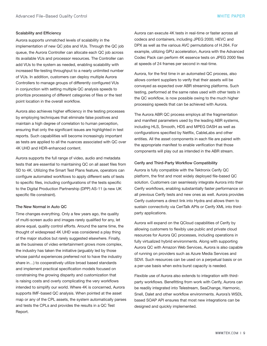#### <span id="page-8-0"></span>Scalability and Efficiency

Aurora supports unmatched levels of scalability in the implementation of new QC jobs and VUs. Through the QC job queue, the Aurora Controller can allocate each QC job across its available VUs and processor resources. The Controller can add VUs to the system as needed, enabling scalability with increased file-testing throughput to a nearly unlimited number of VUs. In addition, customers can deploy multiple Aurora Controllers to manage groups of differently configured VUs in conjunction with setting multiple QC analysis speeds to prioritize processing of different categories of files or the test point location in the overall workflow.

Aurora also achieves higher efficiency in the testing processes by employing techniques that eliminate false positives and maintain a high degree of correlation to human perception, ensuring that only the significant issues are highlighted in test reports. Such capabilities will become increasingly important as tests are applied to all the nuances associated with QC over 4K UHD and HDR-enhanced content.

Aurora supports the full range of video, audio and metadata tests that are essential to maintaining QC on all asset files from SD to 4K. Utilizing the Smart Test Plans feature, operators can configure automated workflows to apply different sets of tests to specific files, including configurations of the tests specific to the Digital Production Partnership (DPP) AS-11 (a new UK specific file constraint).

### The New Normal in Auto QC

Time changes everything. Only a few years ago, the quality of multi-screen audio and images rarely qualified for any, let alone equal, quality control efforts. Around the same time, the thought of widespread 4K UHD was considered a play thing of the major studios but rarely suggested elsewhere. Finally, as the business of video entertainment grows more complex, the industry has taken the initiative (arguably led by those whose painful experiences preferred not to have the industry share in…) to cooperatively utilize broad based standards and implement practical specification models focused on constraining the growing disparity and customization that is raising costs and overly complicating the very workflows intended to simplify our world. Where 4K is concerned, Aurora supports IMF-based QC analysis. When pointed at the asset map or any of the CPL assets, the system automatically parses and tests the CPLs and provides the results in a QC Test Report.

Aurora can execute 4K tests in real-time or faster across all codecs and containers, including JPEG 2000, HEVC and DPX as well as the various AVC permutations of H.264. For example, utilizing GPU acceleration, Aurora with the Advanced Codec Pack can perform 4K essence tests on JPEG 2000 files at speeds of 24 frames per second in real-time.

Aurora, for the first time in an automated QC process, also allows content suppliers to verify that their assets will be conveyed as expected over ABR streaming platforms. Such testing, performed at the same rates used with other tests in the QC workflow, is now possible owing to the much higher processing speeds that can be achieved with Aurora.

The Aurora ABR QC process employs all the fragmentation and manifest parameters used by the leading ABR systems, including HLS, Smooth, HDS and MPEG DASH as well as configurations specified by Netflix, CableLabs and other entities. All the asset components in each file are paired with the appropriate manifest to enable verification that those components will play out as intended in the ABR stream.

#### Cerify and Third-Party Workflow Compatibility

Aurora is fully compatible with the Tektronix Cerify QC platform, the first and most widely deployed file-based QC solution. Customers can seamlessly integrate Aurora into their Cerify workflows, enabling substantially faster performance on all previous Cerify tests and new ones as well. Aurora provides Cerify customers a direct link into Hydra and allows them to sustain connectivity via CeriTalk APIs or Cerify XML into thirdparty applications.

Aurora will expand on the QCloud capabilities of Cerify by allowing customers to flexibly use public and private cloud resources for Aurora QC processes, including operations in fully virtualized hybrid environments. Along with supporting Aurora QC with Amazon Web Services, Aurora is also capable of running on providers such as Azure Media Services and SDVI. Such resources can be used on a perpetual basis or on a per-use basis when extra burst capacity is needed.

Flexible use of Aurora also extends to integration with thirdparty workflows. Benefitting from work with Cerify, Aurora can be readily integrated into Telestream, SeaChange, Harmonic, Snell, Dalet and other workflow environments. Aurora's WSDL based SOAP API ensures that most new integrations can be designed and quickly implemented.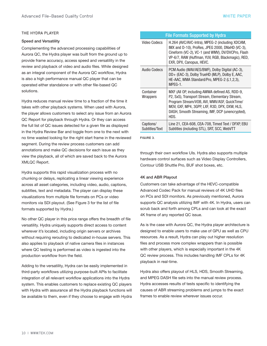#### <span id="page-9-0"></span>THE HYDRA PLAYER

#### Speed and Versatility

Complementing the advanced processing capabilities of Aurora QC, the Hydra player was built from the ground up to provide frame accuracy, access speed and versatility in the review and playback of video and audio files. While designed as an integral component of the Aurora QC workflow, Hydra is also a high performance manual QC player that can be operated either standalone or with other file-based QC solutions.

Hydra reduces manual review time to a fraction of the time it takes with other playback systems. When used with Aurora, the player allows customers to select any issue from an Aurora QC Report for playback through Hydra. Or they can access the full list of QC issues detected for a given file as displayed in the Hydra Review Bar and toggle from one to the next with no time wasted looking for the right start frame in the reviewed segment. During the review process customers can add annotations and make QC decisions for each issue as they view the playback, all of which are saved back to the Aurora XMLQC Report.

Hydra supports this rapid visualization process with no chunking or delays, replicating a linear viewing experience across all asset categories, including video, audio, captions, subtitles, text and metadata. The player can display these visualizations from multiple file formats on PCs or video monitors via SDI playout. (See Figure 3 for the list of file formats supported by Hydra.)

No other QC player in this price range offers the breadth of file versatility. Hydra uniquely supports direct access to content wherever it's located, including origin servers or archives without requiring rerouting to dedicated in-house servers. This also applies to playback of native camera files in instances where QC testing is performed as video is ingested into the production workflow from the field.

Adding to the versatility, Hydra can be easily implemented in third-party workflows utilizing purpose-built APIs to facilitate integration of all relevant workflow applications into the Hydra system. This enables customers to replace existing QC players with Hydra with assurance all the Hydra playback functions will be available to them, even if they choose to engage with Hydra

| <b>File Formats Supported by Hydra</b> |                                                                                                                                                                                                                                                              |  |
|----------------------------------------|--------------------------------------------------------------------------------------------------------------------------------------------------------------------------------------------------------------------------------------------------------------|--|
| Video Codecs                           | H.264 (AVC/AVC-Intra), MPEG-2 (including XDCAM,<br>IMX and D-10), ProRes, JPEG 2000, DNxHD (VC-3),<br>Cineform (VC-2), VC-1 (and WMV), DV/DVCPro, Flash<br>VP-6/7, RAW (Huffman, YUV, RGB, Blackmagic), RED,<br>EXR, DPX, Canopus, HEVC.                     |  |
| Audio Codecs                           | PCM Audio (WAV/AES/BWF), Dolby Digital (AC-3),<br>DD+ (EAC-3), Dolby TrueHD (MLP), Dolby E, AAC,<br>HE-AAC, WMA Standard/Pro, MPEG-2 (L1,2,3),<br>MPEG-1.                                                                                                    |  |
| Container<br>Wrappers                  | MXF (All OP, including AMWA defined AS, RDD-9,<br>P2, SxS), Transport Stream, Elementary Stream,<br>Program Stream/VOB, AVI, WMV/ASF, QuickTime/<br>MOV, GXF, MP4, 3GPP, LXF, R3D, DPX, DXW, HLS,<br>DASH, Smooth Streaming, IMF, DCP (unencrypted),<br>HDS. |  |
| Captions/<br>Subtitles/Text            | Line 21, CEA-608, CEA-708, Timed Text / DFXP, EBU<br>Subtitles (including STL), SRT, SCC, WebVTT                                                                                                                                                             |  |

FIGURE 3.

through their own workflow UIs. Hydra also supports multiple hardware control surfaces such as Video Display Controllers, Contour USB Shuttle Pro, BUF shot boxes, etc.

#### 4K and ABR Playout

Customers can take advantage of the HEVC-compatible Advanced Codec Pack for manual reviews of 4K UHD files on PCs and SDI monitors. As previously mentioned, Aurora supports QC analysis utilizing IMF with 4K. In Hydra, users can scrub back and forth among CPLs and can look at the exact 4K frame of any reported QC issue.

As is the case with Aurora QC, the Hydra player architecture is designed to enable users to make use of GPU as well as CPU resources. As a result, Hydra can play out higher resolution files and process more complex wrappers than is possible with other players, which is especially important in the 4K QC review process. This includes handling IMF CPLs for 4K playback in real-time.

Hydra also offers playout of HLS, HDS, Smooth Streaming, and MPEG DASH file sets into the manual review process. Hydra accesses results of tests specific to identifying the causes of ABR streaming problems and jumps to the exact frames to enable review wherever issues occur.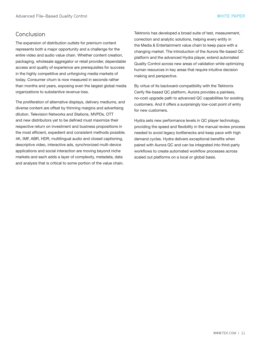## <span id="page-10-0"></span>Conclusion

The expansion of distribution outlets for premium content represents both a major opportunity and a challenge for the entire video and audio value chain. Whether content creation, packaging, wholesale aggregator or retail provider, dependable access and quality of experience are prerequisites for success in the highly competitive and unforgiving media markets of today. Consumer churn is now measured in seconds rather than months and years, exposing even the largest global media organizations to substantive revenue loss.

The proliferation of alternative displays, delivery mediums, and diverse content are offset by thinning margins and advertising dilution. Television Networks and Stations, MVPDs, OTT and new distributors yet to be defined must maximize their respective return on investment and business propositions in the most efficient, expedient and consistent methods possible. 4K, IMF, ABR, HDR, multilingual audio and closed captioning, descriptive video, interactive ads, synchronized multi-device applications and social interaction are moving beyond niche markets and each adds a layer of complexity, metadata, data and analysis that is critical to some portion of the value chain.

Tektronix has developed a broad suite of test, measurement, correction and analytic solutions, helping every entity in the Media & Entertainment value chain to keep pace with a changing market. The introduction of the Aurora file-based QC platform and the advanced Hydra player, extend automated Quality Control across new areas of validation while optimizing human resources in key areas that require intuitive decision making and perspective.

By virtue of its backward-compatibility with the Tektronix Cerify file-based QC platform, Aurora provides a painless, no-cost upgrade path to advanced QC capabilities for existing customers. And it offers a surprisingly low-cost point of entry for new customers.

Hydra sets new performance levels in QC player technology, providing the speed and flexibility in the manual review process needed to avoid legacy bottlenecks and keep pace with high demand cycles. Hydra delivers exceptional benefits when paired with Aurora QC and can be integrated into third-party workflows to create automated workflow processes across scaled out platforms on a local or global basis.